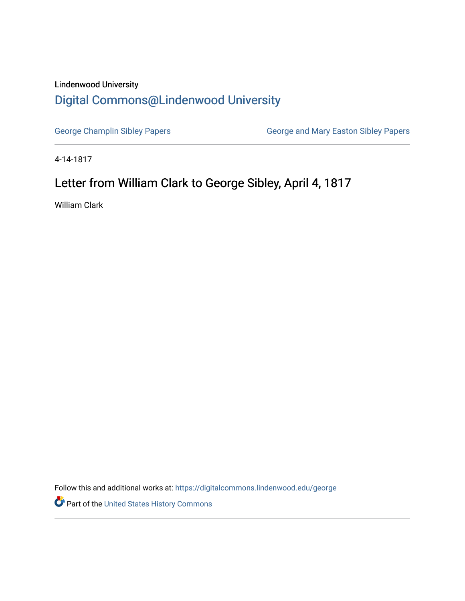## Lindenwood University [Digital Commons@Lindenwood University](https://digitalcommons.lindenwood.edu/)

[George Champlin Sibley Papers](https://digitalcommons.lindenwood.edu/george) **George and Mary Easton Sibley Papers** George and Mary Easton Sibley Papers

4-14-1817

## Letter from William Clark to George Sibley, April 4, 1817

William Clark

Follow this and additional works at: [https://digitalcommons.lindenwood.edu/george](https://digitalcommons.lindenwood.edu/george?utm_source=digitalcommons.lindenwood.edu%2Fgeorge%2F283&utm_medium=PDF&utm_campaign=PDFCoverPages)

Part of the [United States History Commons](http://network.bepress.com/hgg/discipline/495?utm_source=digitalcommons.lindenwood.edu%2Fgeorge%2F283&utm_medium=PDF&utm_campaign=PDFCoverPages)